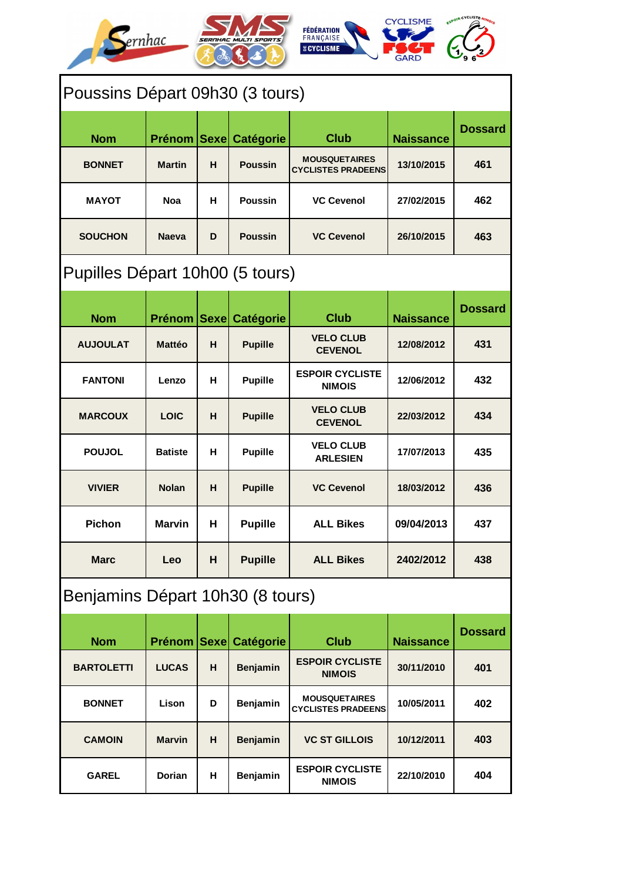

| Poussins Départ 09h30 (3 tours)  |                                 |             |                  |                                                   |                  |                |  |  |  |
|----------------------------------|---------------------------------|-------------|------------------|---------------------------------------------------|------------------|----------------|--|--|--|
| <b>Nom</b>                       | Prénom                          | <b>Sexe</b> | Catégorie        | <b>Club</b>                                       | <b>Naissance</b> | <b>Dossard</b> |  |  |  |
| <b>BONNET</b>                    | <b>Martin</b>                   | н           | <b>Poussin</b>   | <b>MOUSQUETAIRES</b><br><b>CYCLISTES PRADEENS</b> | 13/10/2015       | 461            |  |  |  |
| <b>MAYOT</b>                     | <b>Noa</b>                      | н.          | <b>Poussin</b>   | <b>VC Cevenol</b>                                 | 27/02/2015       | 462            |  |  |  |
| <b>SOUCHON</b>                   | Naeva                           | D           | <b>Poussin</b>   | <b>VC Cevenol</b>                                 | 26/10/2015       | 463            |  |  |  |
|                                  | Pupilles Départ 10h00 (5 tours) |             |                  |                                                   |                  |                |  |  |  |
| <b>Nom</b>                       | <b>Prénom</b>                   | <b>Sexe</b> | Catégorie        | <b>Club</b>                                       | <b>Naissance</b> | <b>Dossard</b> |  |  |  |
| <b>AUJOULAT</b>                  | <b>Mattéo</b>                   | н           | <b>Pupille</b>   | <b>VELO CLUB</b><br><b>CEVENOL</b>                | 12/08/2012       | 431            |  |  |  |
| <b>FANTONI</b>                   | Lenzo                           | н           | <b>Pupille</b>   | <b>ESPOIR CYCLISTE</b><br><b>NIMOIS</b>           | 12/06/2012       | 432            |  |  |  |
| <b>MARCOUX</b>                   | <b>LOIC</b>                     | н           | <b>Pupille</b>   | <b>VELO CLUB</b><br><b>CEVENOL</b>                | 22/03/2012       | 434            |  |  |  |
| <b>POUJOL</b>                    | <b>Batiste</b>                  | н           | <b>Pupille</b>   | <b>VELO CLUB</b><br><b>ARLESIEN</b>               | 17/07/2013       | 435            |  |  |  |
| <b>VIVIER</b>                    | <b>Nolan</b>                    | н           | <b>Pupille</b>   | <b>VC Cevenol</b>                                 | 18/03/2012       | 436            |  |  |  |
| <b>Pichon</b>                    | <b>Marvin</b>                   | н           | <b>Pupille</b>   | <b>ALL Bikes</b>                                  | 09/04/2013       | 437            |  |  |  |
| <b>Marc</b>                      | Leo                             | н           | <b>Pupille</b>   | <b>ALL Bikes</b>                                  | 2402/2012        | 438            |  |  |  |
| Benjamins Départ 10h30 (8 tours) |                                 |             |                  |                                                   |                  |                |  |  |  |
| <b>Nom</b>                       | <b>Prénom</b>                   | <b>Sexe</b> | <b>Catégorie</b> | <b>Club</b>                                       | <b>Naissance</b> | <b>Dossard</b> |  |  |  |
| <b>BARTOLETTI</b>                | <b>LUCAS</b>                    | н           | Benjamin         | <b>ESPOIR CYCLISTE</b><br><b>NIMOIS</b>           | 30/11/2010       | 401            |  |  |  |
| <b>BONNET</b>                    | Lison                           | D           | Benjamin         | <b>MOUSQUETAIRES</b><br><b>CYCLISTES PRADEENS</b> | 10/05/2011       | 402            |  |  |  |

**CAMOIN Marvin H Benjamin VC ST GILLOIS 10/12/2011 403**

**NIMOIS 22/10/2010 <sup>404</sup>**

**GAREL Dorian <sup>H</sup> Benjamin ESPOIR CYCLISTE**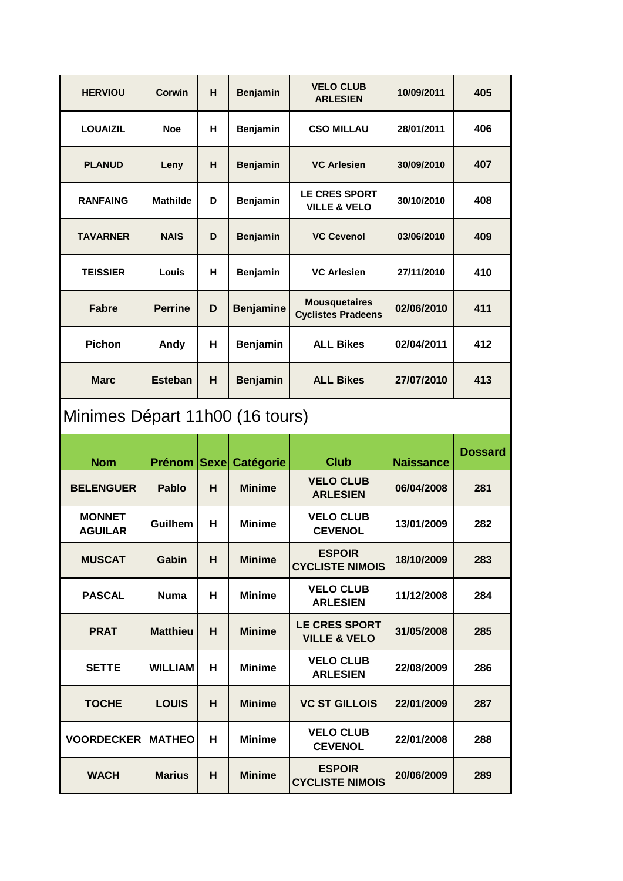| <b>HERVIOU</b>                  | Corwin          | H           | <b>Benjamin</b>  | <b>VELO CLUB</b><br><b>ARLESIEN</b>               | 10/09/2011       | 405            |  |
|---------------------------------|-----------------|-------------|------------------|---------------------------------------------------|------------------|----------------|--|
| <b>LOUAIZIL</b>                 | <b>Noe</b>      | н           | Benjamin         | <b>CSO MILLAU</b>                                 | 28/01/2011       | 406            |  |
| <b>PLANUD</b>                   | Leny            | н           | Benjamin         | <b>VC Arlesien</b>                                | 30/09/2010       | 407            |  |
| <b>RANFAING</b>                 | <b>Mathilde</b> | D           | Benjamin         | LE CRES SPORT<br><b>VILLE &amp; VELO</b>          | 30/10/2010       | 408            |  |
| <b>TAVARNER</b>                 | <b>NAIS</b>     | D           | Benjamin         | <b>VC Cevenol</b>                                 | 03/06/2010       | 409            |  |
| <b>TEISSIER</b>                 | Louis           | н           | Benjamin         | <b>VC Arlesien</b>                                | 27/11/2010       | 410            |  |
| <b>Fabre</b>                    | <b>Perrine</b>  | D           | <b>Benjamine</b> | <b>Mousquetaires</b><br><b>Cyclistes Pradeens</b> | 02/06/2010       | 411            |  |
| <b>Pichon</b>                   | Andy            | н           | <b>Benjamin</b>  | <b>ALL Bikes</b>                                  | 02/04/2011       | 412            |  |
| <b>Marc</b>                     | <b>Esteban</b>  | H           | <b>Benjamin</b>  | <b>ALL Bikes</b>                                  | 27/07/2010       | 413            |  |
| Minimes Départ 11h00 (16 tours) |                 |             |                  |                                                   |                  |                |  |
|                                 |                 |             |                  |                                                   |                  |                |  |
| <b>Nom</b>                      | <b>Prénom</b>   | <b>Sexe</b> | Catégorie        | <b>Club</b>                                       | <b>Naissance</b> | <b>Dossard</b> |  |
| <b>BELENGUER</b>                | <b>Pablo</b>    | н           | <b>Minime</b>    | <b>VELO CLUB</b><br><b>ARLESIEN</b>               | 06/04/2008       | 281            |  |
| <b>MONNET</b><br><b>AGUILAR</b> | <b>Guilhem</b>  | н           | <b>Minime</b>    | <b>VELO CLUB</b><br><b>CEVENOL</b>                | 13/01/2009       | 282            |  |
| <b>MUSCAT</b>                   | Gabin           | H           | <b>Minime</b>    | <b>ESPOIR</b><br><b>CYCLISTE NIMOIS</b>           | 18/10/2009       | 283            |  |
| <b>PASCAL</b>                   | <b>Numa</b>     | н           | <b>Minime</b>    | <b>VELO CLUB</b><br><b>ARLESIEN</b>               | 11/12/2008       | 284            |  |
| <b>PRAT</b>                     | <b>Matthieu</b> | н           | <b>Minime</b>    | <b>LE CRES SPORT</b><br><b>VILLE &amp; VELO</b>   | 31/05/2008       | 285            |  |
| <b>SETTE</b>                    | <b>WILLIAM</b>  | н           | <b>Minime</b>    | <b>VELO CLUB</b><br><b>ARLESIEN</b>               | 22/08/2009       | 286            |  |
| <b>TOCHE</b>                    | <b>LOUIS</b>    | н           | <b>Minime</b>    | <b>VC ST GILLOIS</b>                              | 22/01/2009       | 287            |  |
| <b>VOORDECKER</b>               | <b>MATHEO</b>   | н           | <b>Minime</b>    | <b>VELO CLUB</b><br><b>CEVENOL</b>                | 22/01/2008       | 288            |  |